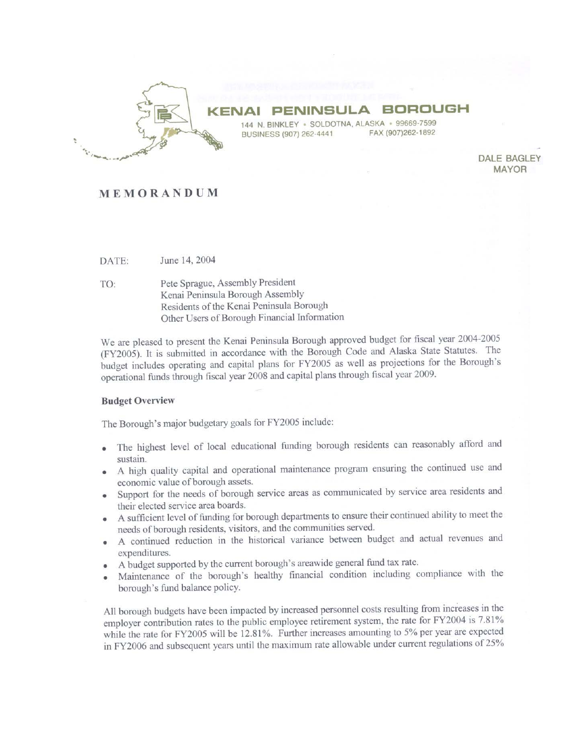

#### **BORO KENAI**  $\Delta$

144 N. BINKLEY · SOLDOTNA, ALASKA · 99669-7599 FAX (907)262-1892 BUSINESS (907) 262-4441

> **DALE BAGLEY MAYOR**

### MEMORANDUM

June 14, 2004 DATE:

Pete Sprague, Assembly President TO: Kenai Peninsula Borough Assembly Residents of the Kenai Peninsula Borough Other Users of Borough Financial Information

We are pleased to present the Kenai Peninsula Borough approved budget for fiscal year 2004-2005 (FY2005). It is submitted in accordance with the Borough Code and Alaska State Statutes. The budget includes operating and capital plans for FY2005 as well as projections for the Borough's operational funds through fiscal year 2008 and capital plans through fiscal year 2009.

#### **Budget Overview**

The Borough's major budgetary goals for FY2005 include:

- The highest level of local educational funding borough residents can reasonably afford and sustain.
- A high quality capital and operational maintenance program ensuring the continued use and economic value of borough assets.
- Support for the needs of borough service areas as communicated by service area residents and their elected service area boards.
- A sufficient level of funding for borough departments to ensure their continued ability to meet the  $\bullet$ needs of borough residents, visitors, and the communities served.
- A continued reduction in the historical variance between budget and actual revenues and  $\bullet$ expenditures.
- A budget supported by the current borough's areawide general fund tax rate.
- Maintenance of the borough's healthy financial condition including compliance with the borough's fund balance policy.

All borough budgets have been impacted by increased personnel costs resulting from increases in the employer contribution rates to the public employee retirement system, the rate for FY2004 is 7.81% while the rate for FY2005 will be 12.81%. Further increases amounting to 5% per year are expected in FY2006 and subsequent years until the maximum rate allowable under current regulations of 25%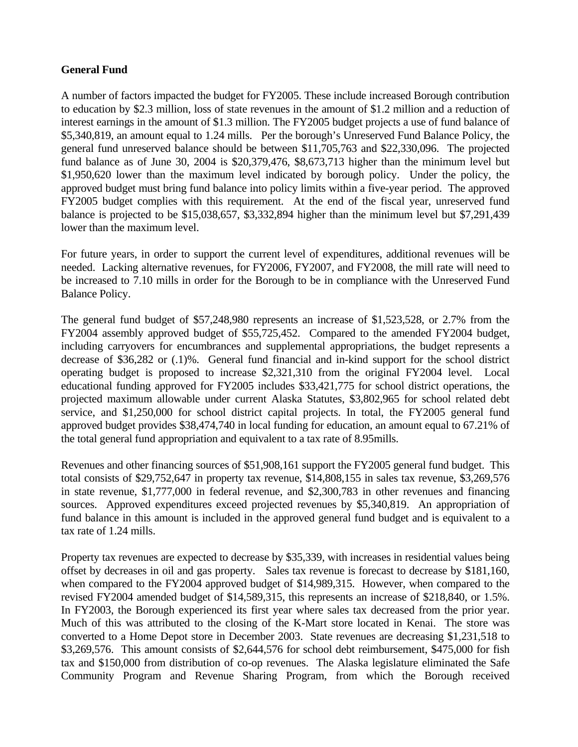## **General Fund**

A number of factors impacted the budget for FY2005. These include increased Borough contribution to education by \$2.3 million, loss of state revenues in the amount of \$1.2 million and a reduction of interest earnings in the amount of \$1.3 million. The FY2005 budget projects a use of fund balance of \$5,340,819, an amount equal to 1.24 mills. Per the borough's Unreserved Fund Balance Policy, the general fund unreserved balance should be between \$11,705,763 and \$22,330,096. The projected fund balance as of June 30, 2004 is \$20,379,476, \$8,673,713 higher than the minimum level but \$1,950,620 lower than the maximum level indicated by borough policy. Under the policy, the approved budget must bring fund balance into policy limits within a five-year period. The approved FY2005 budget complies with this requirement. At the end of the fiscal year, unreserved fund balance is projected to be \$15,038,657, \$3,332,894 higher than the minimum level but \$7,291,439 lower than the maximum level.

For future years, in order to support the current level of expenditures, additional revenues will be needed. Lacking alternative revenues, for FY2006, FY2007, and FY2008, the mill rate will need to be increased to 7.10 mills in order for the Borough to be in compliance with the Unreserved Fund Balance Policy.

The general fund budget of \$57,248,980 represents an increase of \$1,523,528, or 2.7% from the FY2004 assembly approved budget of \$55,725,452. Compared to the amended FY2004 budget, including carryovers for encumbrances and supplemental appropriations, the budget represents a decrease of \$36,282 or (.1)%. General fund financial and in-kind support for the school district operating budget is proposed to increase \$2,321,310 from the original FY2004 level. Local educational funding approved for FY2005 includes \$33,421,775 for school district operations, the projected maximum allowable under current Alaska Statutes, \$3,802,965 for school related debt service, and \$1,250,000 for school district capital projects. In total, the FY2005 general fund approved budget provides \$38,474,740 in local funding for education, an amount equal to 67.21% of the total general fund appropriation and equivalent to a tax rate of 8.95mills.

Revenues and other financing sources of \$51,908,161 support the FY2005 general fund budget. This total consists of \$29,752,647 in property tax revenue, \$14,808,155 in sales tax revenue, \$3,269,576 in state revenue, \$1,777,000 in federal revenue, and \$2,300,783 in other revenues and financing sources. Approved expenditures exceed projected revenues by \$5,340,819. An appropriation of fund balance in this amount is included in the approved general fund budget and is equivalent to a tax rate of 1.24 mills.

Property tax revenues are expected to decrease by \$35,339, with increases in residential values being offset by decreases in oil and gas property. Sales tax revenue is forecast to decrease by \$181,160, when compared to the FY2004 approved budget of \$14,989,315. However, when compared to the revised FY2004 amended budget of \$14,589,315, this represents an increase of \$218,840, or 1.5%. In FY2003, the Borough experienced its first year where sales tax decreased from the prior year. Much of this was attributed to the closing of the K-Mart store located in Kenai. The store was converted to a Home Depot store in December 2003. State revenues are decreasing \$1,231,518 to \$3,269,576. This amount consists of \$2,644,576 for school debt reimbursement, \$475,000 for fish tax and \$150,000 from distribution of co-op revenues. The Alaska legislature eliminated the Safe Community Program and Revenue Sharing Program, from which the Borough received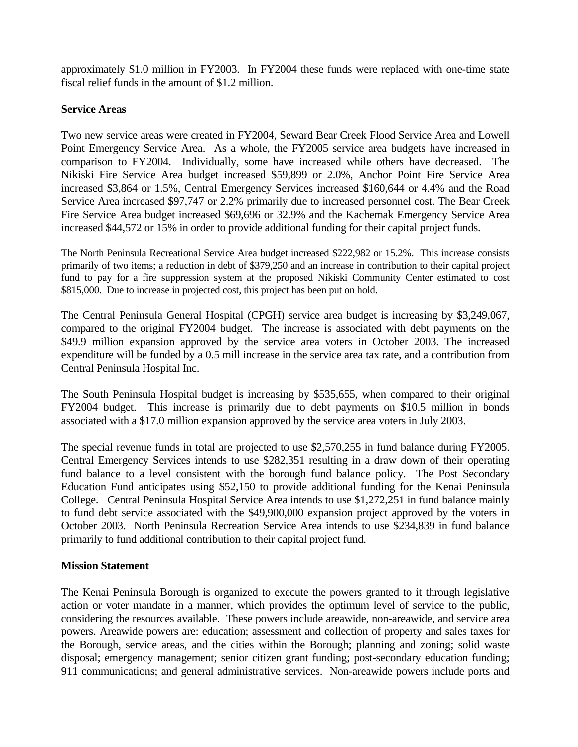approximately \$1.0 million in FY2003. In FY2004 these funds were replaced with one-time state fiscal relief funds in the amount of \$1.2 million.

### **Service Areas**

Two new service areas were created in FY2004, Seward Bear Creek Flood Service Area and Lowell Point Emergency Service Area. As a whole, the FY2005 service area budgets have increased in comparison to FY2004. Individually, some have increased while others have decreased.The Nikiski Fire Service Area budget increased \$59,899 or 2.0%, Anchor Point Fire Service Area increased \$3,864 or 1.5%, Central Emergency Services increased \$160,644 or 4.4% and the Road Service Area increased \$97,747 or 2.2% primarily due to increased personnel cost. The Bear Creek Fire Service Area budget increased \$69,696 or 32.9% and the Kachemak Emergency Service Area increased \$44,572 or 15% in order to provide additional funding for their capital project funds.

The North Peninsula Recreational Service Area budget increased \$222,982 or 15.2%. This increase consists primarily of two items; a reduction in debt of \$379,250 and an increase in contribution to their capital project fund to pay for a fire suppression system at the proposed Nikiski Community Center estimated to cost \$815,000. Due to increase in projected cost, this project has been put on hold.

The Central Peninsula General Hospital (CPGH) service area budget is increasing by \$3,249,067, compared to the original FY2004 budget. The increase is associated with debt payments on the \$49.9 million expansion approved by the service area voters in October 2003. The increased expenditure will be funded by a 0.5 mill increase in the service area tax rate, and a contribution from Central Peninsula Hospital Inc.

The South Peninsula Hospital budget is increasing by \$535,655, when compared to their original FY2004 budget. This increase is primarily due to debt payments on \$10.5 million in bonds associated with a \$17.0 million expansion approved by the service area voters in July 2003.

The special revenue funds in total are projected to use \$2,570,255 in fund balance during FY2005. Central Emergency Services intends to use \$282,351 resulting in a draw down of their operating fund balance to a level consistent with the borough fund balance policy. The Post Secondary Education Fund anticipates using \$52,150 to provide additional funding for the Kenai Peninsula College. Central Peninsula Hospital Service Area intends to use \$1,272,251 in fund balance mainly to fund debt service associated with the \$49,900,000 expansion project approved by the voters in October 2003. North Peninsula Recreation Service Area intends to use \$234,839 in fund balance primarily to fund additional contribution to their capital project fund.

### **Mission Statement**

The Kenai Peninsula Borough is organized to execute the powers granted to it through legislative action or voter mandate in a manner, which provides the optimum level of service to the public, considering the resources available. These powers include areawide, non-areawide, and service area powers. Areawide powers are: education; assessment and collection of property and sales taxes for the Borough, service areas, and the cities within the Borough; planning and zoning; solid waste disposal; emergency management; senior citizen grant funding; post-secondary education funding; 911 communications; and general administrative services. Non-areawide powers include ports and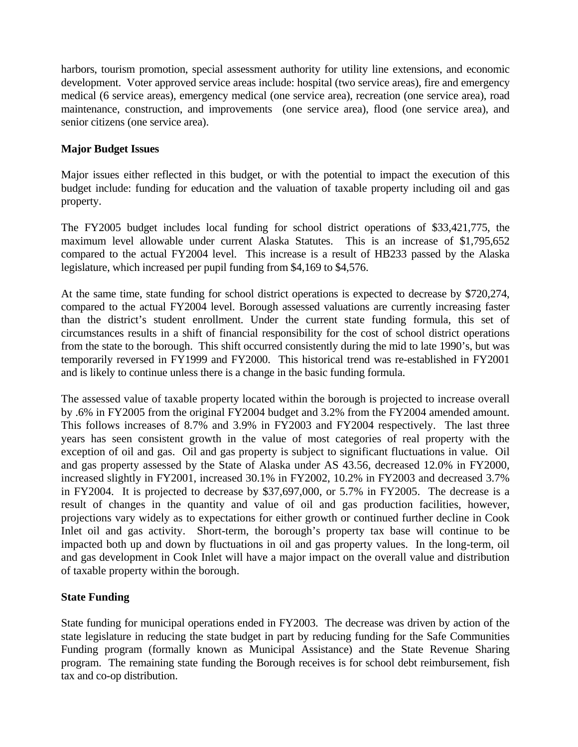harbors, tourism promotion, special assessment authority for utility line extensions, and economic development. Voter approved service areas include: hospital (two service areas), fire and emergency medical (6 service areas), emergency medical (one service area), recreation (one service area), road maintenance, construction, and improvements (one service area), flood (one service area), and senior citizens (one service area).

### **Major Budget Issues**

Major issues either reflected in this budget, or with the potential to impact the execution of this budget include: funding for education and the valuation of taxable property including oil and gas property.

The FY2005 budget includes local funding for school district operations of \$33,421,775, the maximum level allowable under current Alaska Statutes. This is an increase of \$1,795,652 compared to the actual FY2004 level. This increase is a result of HB233 passed by the Alaska legislature, which increased per pupil funding from \$4,169 to \$4,576.

At the same time, state funding for school district operations is expected to decrease by \$720,274, compared to the actual FY2004 level. Borough assessed valuations are currently increasing faster than the district's student enrollment. Under the current state funding formula, this set of circumstances results in a shift of financial responsibility for the cost of school district operations from the state to the borough. This shift occurred consistently during the mid to late 1990's, but was temporarily reversed in FY1999 and FY2000. This historical trend was re-established in FY2001 and is likely to continue unless there is a change in the basic funding formula.

The assessed value of taxable property located within the borough is projected to increase overall by .6% in FY2005 from the original FY2004 budget and 3.2% from the FY2004 amended amount. This follows increases of 8.7% and 3.9% in FY2003 and FY2004 respectively. The last three years has seen consistent growth in the value of most categories of real property with the exception of oil and gas. Oil and gas property is subject to significant fluctuations in value. Oil and gas property assessed by the State of Alaska under AS 43.56, decreased 12.0% in FY2000, increased slightly in FY2001, increased 30.1% in FY2002, 10.2% in FY2003 and decreased 3.7% in FY2004. It is projected to decrease by \$37,697,000, or 5.7% in FY2005. The decrease is a result of changes in the quantity and value of oil and gas production facilities, however, projections vary widely as to expectations for either growth or continued further decline in Cook Inlet oil and gas activity. Short-term, the borough's property tax base will continue to be impacted both up and down by fluctuations in oil and gas property values. In the long-term, oil and gas development in Cook Inlet will have a major impact on the overall value and distribution of taxable property within the borough.

# **State Funding**

State funding for municipal operations ended in FY2003. The decrease was driven by action of the state legislature in reducing the state budget in part by reducing funding for the Safe Communities Funding program (formally known as Municipal Assistance) and the State Revenue Sharing program. The remaining state funding the Borough receives is for school debt reimbursement, fish tax and co-op distribution.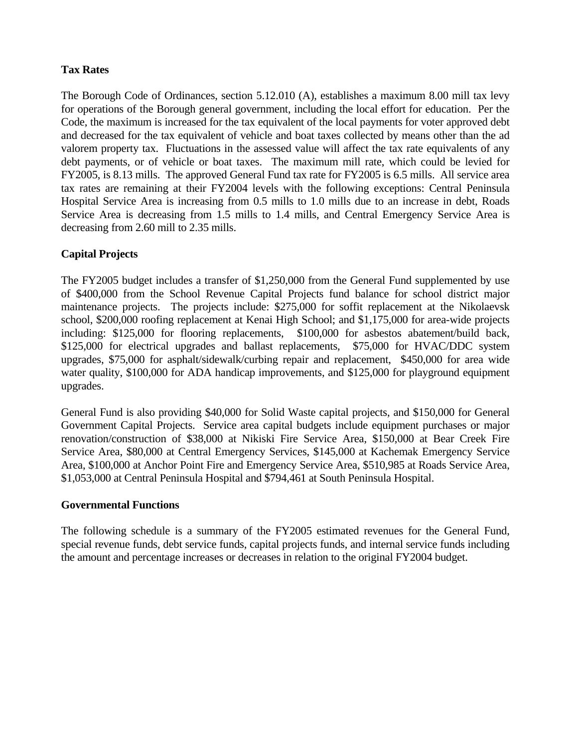# **Tax Rates**

The Borough Code of Ordinances, section 5.12.010 (A), establishes a maximum 8.00 mill tax levy for operations of the Borough general government, including the local effort for education. Per the Code, the maximum is increased for the tax equivalent of the local payments for voter approved debt and decreased for the tax equivalent of vehicle and boat taxes collected by means other than the ad valorem property tax. Fluctuations in the assessed value will affect the tax rate equivalents of any debt payments, or of vehicle or boat taxes. The maximum mill rate, which could be levied for FY2005, is 8.13 mills. The approved General Fund tax rate for FY2005 is 6.5 mills. All service area tax rates are remaining at their FY2004 levels with the following exceptions: Central Peninsula Hospital Service Area is increasing from 0.5 mills to 1.0 mills due to an increase in debt, Roads Service Area is decreasing from 1.5 mills to 1.4 mills, and Central Emergency Service Area is decreasing from 2.60 mill to 2.35 mills.

# **Capital Projects**

The FY2005 budget includes a transfer of \$1,250,000 from the General Fund supplemented by use of \$400,000 from the School Revenue Capital Projects fund balance for school district major maintenance projects. The projects include: \$275,000 for soffit replacement at the Nikolaevsk school, \$200,000 roofing replacement at Kenai High School; and \$1,175,000 for area-wide projects including: \$125,000 for flooring replacements, \$100,000 for asbestos abatement/build back, \$125,000 for electrical upgrades and ballast replacements, \$75,000 for HVAC/DDC system upgrades, \$75,000 for asphalt/sidewalk/curbing repair and replacement, \$450,000 for area wide water quality, \$100,000 for ADA handicap improvements, and \$125,000 for playground equipment upgrades.

General Fund is also providing \$40,000 for Solid Waste capital projects, and \$150,000 for General Government Capital Projects. Service area capital budgets include equipment purchases or major renovation/construction of \$38,000 at Nikiski Fire Service Area, \$150,000 at Bear Creek Fire Service Area, \$80,000 at Central Emergency Services, \$145,000 at Kachemak Emergency Service Area, \$100,000 at Anchor Point Fire and Emergency Service Area, \$510,985 at Roads Service Area, \$1,053,000 at Central Peninsula Hospital and \$794,461 at South Peninsula Hospital.

### **Governmental Functions**

The following schedule is a summary of the FY2005 estimated revenues for the General Fund, special revenue funds, debt service funds, capital projects funds, and internal service funds including the amount and percentage increases or decreases in relation to the original FY2004 budget.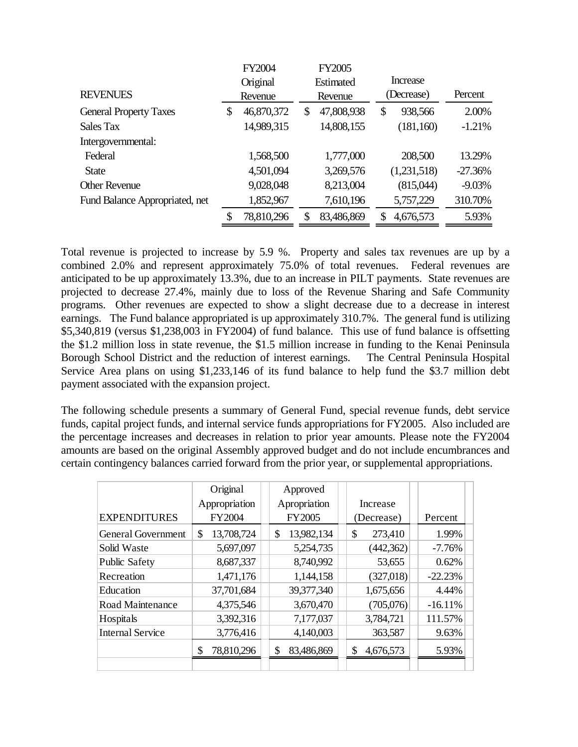|                                | FY2004           | <b>FY2005</b>    |                 |           |
|--------------------------------|------------------|------------------|-----------------|-----------|
|                                | Original         | <b>Estimated</b> | <b>Increase</b> |           |
| <b>REVENUES</b>                | Revenue          | Revenue          | (Decrease)      | Percent   |
| <b>General Property Taxes</b>  | \$<br>46,870,372 | \$<br>47,808,938 | \$<br>938,566   | 2.00%     |
| Sales Tax                      | 14,989,315       | 14,808,155       | (181, 160)      | $-1.21%$  |
| Intergovernmental:             |                  |                  |                 |           |
| Federal                        | 1,568,500        | 1,777,000        | 208,500         | 13.29%    |
| <b>State</b>                   | 4,501,094        | 3,269,576        | (1,231,518)     | $-27.36%$ |
| <b>Other Revenue</b>           | 9,028,048        | 8,213,004        | (815,044)       | $-9.03%$  |
| Fund Balance Appropriated, net | 1,852,967        | 7,610,196        | 5,757,229       | 310.70%   |
|                                | 78,810,296       | 83,486,869       | 4,676,573       | 5.93%     |

Total revenue is projected to increase by 5.9 %. Property and sales tax revenues are up by a combined 2.0% and represent approximately 75.0% of total revenues. Federal revenues are anticipated to be up approximately 13.3%, due to an increase in PILT payments. State revenues are projected to decrease 27.4%, mainly due to loss of the Revenue Sharing and Safe Community programs. Other revenues are expected to show a slight decrease due to a decrease in interest earnings. The Fund balance appropriated is up approximately 310.7%. The general fund is utilizing \$5,340,819 (versus \$1,238,003 in FY2004) of fund balance. This use of fund balance is offsetting the \$1.2 million loss in state revenue, the \$1.5 million increase in funding to the Kenai Peninsula Borough School District and the reduction of interest earnings. The Central Peninsula Hospital Service Area plans on using \$1,233,146 of its fund balance to help fund the \$3.7 million debt payment associated with the expansion project.

The following schedule presents a summary of General Fund, special revenue funds, debt service funds, capital project funds, and internal service funds appropriations for FY2005. Also included are the percentage increases and decreases in relation to prior year amounts. Please note the FY2004 amounts are based on the original Assembly approved budget and do not include encumbrances and certain contingency balances carried forward from the prior year, or supplemental appropriations.

|                           | Original<br>Appropriation | Approved<br>Apropriation | Increase        |            |
|---------------------------|---------------------------|--------------------------|-----------------|------------|
| <b>EXPENDITURES</b>       | FY2004                    | <b>FY2005</b>            | (Decrease)      | Percent    |
| <b>General Government</b> | 13,708,724<br>\$          | 13,982,134<br>\$         | \$<br>273,410   | 1.99%      |
| Solid Waste               | 5,697,097                 | 5,254,735                | (442,362)       | $-7.76\%$  |
| <b>Public Safety</b>      | 8,687,337                 | 8,740,992                | 53,655          | 0.62%      |
| Recreation                | 1,471,176                 | 1,144,158                | (327,018)       | $-22.23%$  |
| Education                 | 37,701,684                | 39,377,340               | 1,675,656       | 4.44%      |
| Road Maintenance          | 4,375,546                 | 3,670,470                | (705,076)       | $-16.11\%$ |
| Hospitals                 | 3,392,316                 | 7,177,037                | 3,784,721       | 111.57%    |
| <b>Internal Service</b>   | 3,776,416                 | 4,140,003                | 363,587         | 9.63%      |
|                           | \$<br>78,810,296          | 83,486,869<br>\$         | 4,676,573<br>\$ | 5.93%      |
|                           |                           |                          |                 |            |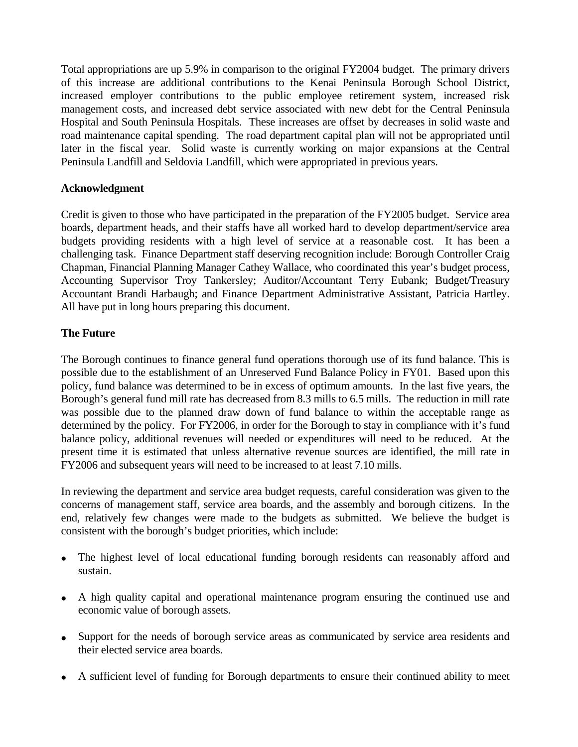Total appropriations are up 5.9% in comparison to the original FY2004 budget. The primary drivers of this increase are additional contributions to the Kenai Peninsula Borough School District, increased employer contributions to the public employee retirement system, increased risk management costs, and increased debt service associated with new debt for the Central Peninsula Hospital and South Peninsula Hospitals. These increases are offset by decreases in solid waste and road maintenance capital spending. The road department capital plan will not be appropriated until later in the fiscal year. Solid waste is currently working on major expansions at the Central Peninsula Landfill and Seldovia Landfill, which were appropriated in previous years.

### **Acknowledgment**

Credit is given to those who have participated in the preparation of the FY2005 budget. Service area boards, department heads, and their staffs have all worked hard to develop department/service area budgets providing residents with a high level of service at a reasonable cost. It has been a challenging task. Finance Department staff deserving recognition include: Borough Controller Craig Chapman, Financial Planning Manager Cathey Wallace, who coordinated this year's budget process, Accounting Supervisor Troy Tankersley; Auditor/Accountant Terry Eubank; Budget/Treasury Accountant Brandi Harbaugh; and Finance Department Administrative Assistant, Patricia Hartley. All have put in long hours preparing this document.

### **The Future**

The Borough continues to finance general fund operations thorough use of its fund balance. This is possible due to the establishment of an Unreserved Fund Balance Policy in FY01. Based upon this policy, fund balance was determined to be in excess of optimum amounts. In the last five years, the Borough's general fund mill rate has decreased from 8.3 mills to 6.5 mills. The reduction in mill rate was possible due to the planned draw down of fund balance to within the acceptable range as determined by the policy. For FY2006, in order for the Borough to stay in compliance with it's fund balance policy, additional revenues will needed or expenditures will need to be reduced. At the present time it is estimated that unless alternative revenue sources are identified, the mill rate in FY2006 and subsequent years will need to be increased to at least 7.10 mills.

In reviewing the department and service area budget requests, careful consideration was given to the concerns of management staff, service area boards, and the assembly and borough citizens. In the end, relatively few changes were made to the budgets as submitted. We believe the budget is consistent with the borough's budget priorities, which include:

- The highest level of local educational funding borough residents can reasonably afford and sustain.
- A high quality capital and operational maintenance program ensuring the continued use and economic value of borough assets.
- Support for the needs of borough service areas as communicated by service area residents and their elected service area boards.
- A sufficient level of funding for Borough departments to ensure their continued ability to meet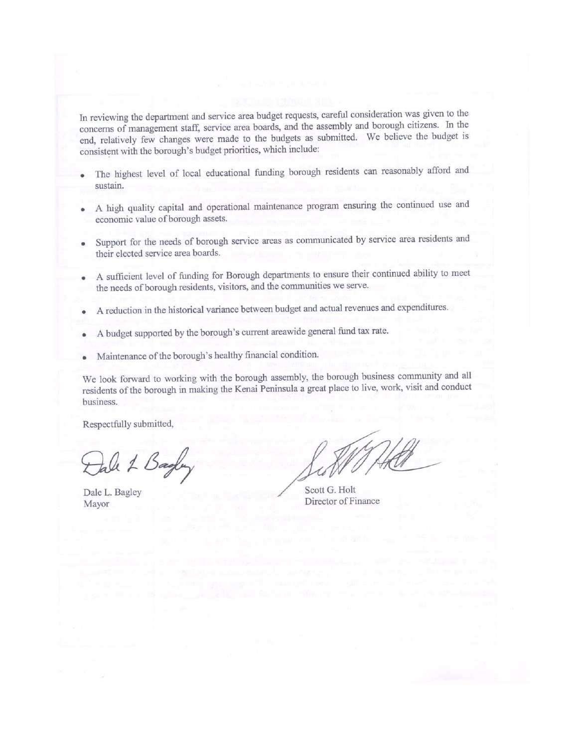In reviewing the department and service area budget requests, careful consideration was given to the concerns of management staff, service area boards, and the assembly and borough citizens. In the end, relatively few changes were made to the budgets as submitted. We believe the budget is consistent with the borough's budget priorities, which include:

- The highest level of local educational funding borough residents can reasonably afford and sustain.
- A high quality capital and operational maintenance program ensuring the continued use and economic value of borough assets.
- Support for the needs of borough service areas as communicated by service area residents and their elected service area boards.
- A sufficient level of funding for Borough departments to ensure their continued ability to meet  $\bullet$ the needs of borough residents, visitors, and the communities we serve.
- A reduction in the historical variance between budget and actual revenues and expenditures. ø
- A budget supported by the borough's current areawide general fund tax rate.
- Maintenance of the borough's healthy financial condition.

We look forward to working with the borough assembly, the borough business community and all residents of the borough in making the Kenai Peninsula a great place to live, work, visit and conduct business.

Respectfully submitted,

tale 1 Bagley

Dale L. Bagley Mayor

Scott G. Holt Director of Finance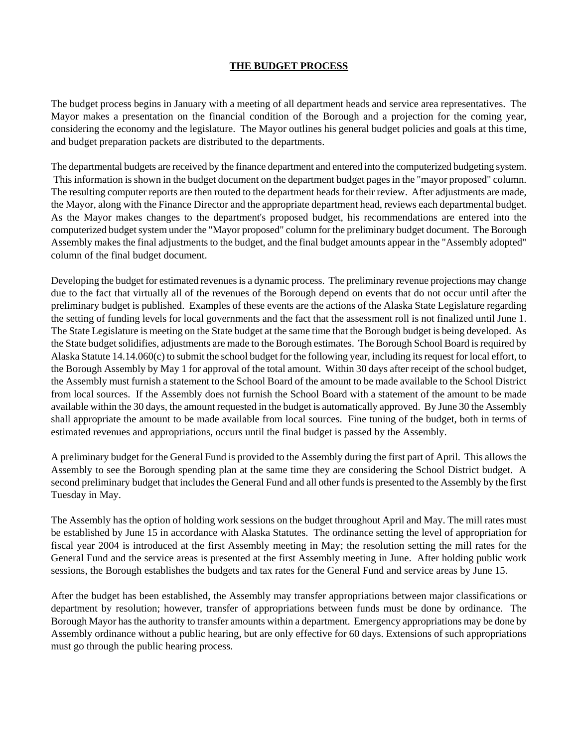### **THE BUDGET PROCESS**

The budget process begins in January with a meeting of all department heads and service area representatives. The Mayor makes a presentation on the financial condition of the Borough and a projection for the coming year, considering the economy and the legislature. The Mayor outlines his general budget policies and goals at this time, and budget preparation packets are distributed to the departments.

The departmental budgets are received by the finance department and entered into the computerized budgeting system. This information is shown in the budget document on the department budget pages in the "mayor proposed" column. The resulting computer reports are then routed to the department heads for their review. After adjustments are made, the Mayor, along with the Finance Director and the appropriate department head, reviews each departmental budget. As the Mayor makes changes to the department's proposed budget, his recommendations are entered into the computerized budget system under the "Mayor proposed" column for the preliminary budget document. The Borough Assembly makes the final adjustments to the budget, and the final budget amounts appear in the "Assembly adopted" column of the final budget document.

Developing the budget for estimated revenues is a dynamic process. The preliminary revenue projections may change due to the fact that virtually all of the revenues of the Borough depend on events that do not occur until after the preliminary budget is published. Examples of these events are the actions of the Alaska State Legislature regarding the setting of funding levels for local governments and the fact that the assessment roll is not finalized until June 1. The State Legislature is meeting on the State budget at the same time that the Borough budget is being developed. As the State budget solidifies, adjustments are made to the Borough estimates. The Borough School Board is required by Alaska Statute 14.14.060(c) to submit the school budget for the following year, including its request for local effort, to the Borough Assembly by May 1 for approval of the total amount. Within 30 days after receipt of the school budget, the Assembly must furnish a statement to the School Board of the amount to be made available to the School District from local sources. If the Assembly does not furnish the School Board with a statement of the amount to be made available within the 30 days, the amount requested in the budget is automatically approved. By June 30 the Assembly shall appropriate the amount to be made available from local sources. Fine tuning of the budget, both in terms of estimated revenues and appropriations, occurs until the final budget is passed by the Assembly.

A preliminary budget for the General Fund is provided to the Assembly during the first part of April. This allows the Assembly to see the Borough spending plan at the same time they are considering the School District budget. A second preliminary budget that includes the General Fund and all other funds is presented to the Assembly by the first Tuesday in May.

The Assembly has the option of holding work sessions on the budget throughout April and May. The mill rates must be established by June 15 in accordance with Alaska Statutes. The ordinance setting the level of appropriation for fiscal year 2004 is introduced at the first Assembly meeting in May; the resolution setting the mill rates for the General Fund and the service areas is presented at the first Assembly meeting in June. After holding public work sessions, the Borough establishes the budgets and tax rates for the General Fund and service areas by June 15.

After the budget has been established, the Assembly may transfer appropriations between major classifications or department by resolution; however, transfer of appropriations between funds must be done by ordinance. The Borough Mayor has the authority to transfer amounts within a department. Emergency appropriations may be done by Assembly ordinance without a public hearing, but are only effective for 60 days. Extensions of such appropriations must go through the public hearing process.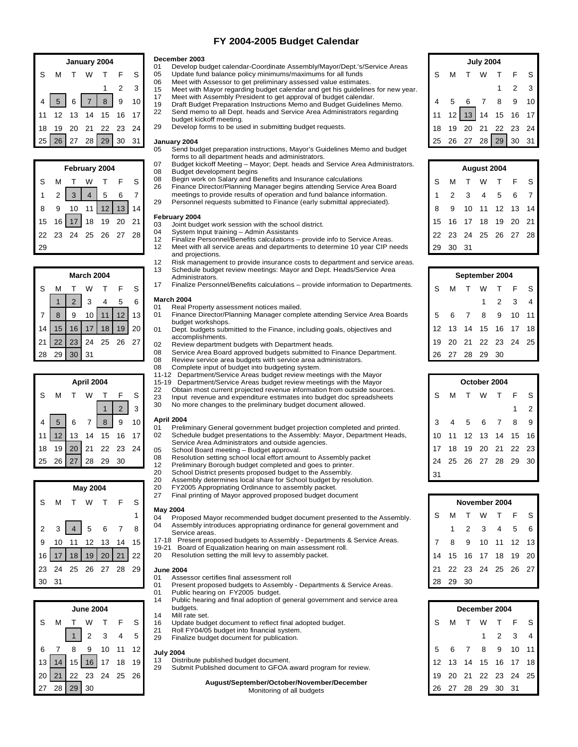#### **FY 2004-2005 Budget Calendar**

|    | January 2004 |    |    |           |    | December 2003   | <b>July 2004</b>                                                                                                                                              |    |    |    |    |    |       |    |  |
|----|--------------|----|----|-----------|----|-----------------|---------------------------------------------------------------------------------------------------------------------------------------------------------------|----|----|----|----|----|-------|----|--|
|    |              |    |    |           |    |                 | Develop budget calendar-Coordinate Assembly/Mayor/Dept.'s/Service Areas<br>01<br>Update fund balance policy minimums/maximums for all funds<br>05             |    |    |    |    |    |       |    |  |
|    |              |    |    |           |    |                 | Meet with Assessor to get preliminary assessed value estimates.<br>06<br>Meet with Mayor regarding budget calendar and get his guidelines for new year.<br>15 |    |    |    |    |    |       |    |  |
|    |              |    |    |           | 9  | 10 <sub>l</sub> | Meet with Assembly President to get approval of budget calendar.<br>17<br>Draft Budget Preparation Instructions Memo and Budget Guidelines Memo.<br>19        |    |    |    |    |    |       | 10 |  |
|    |              |    |    |           |    |                 | Send memo to all Dept. heads and Service Area Administrators regarding<br>22<br>budget kickoff meeting.                                                       |    |    |    |    |    | 16    | 17 |  |
| 18 | 19           | 20 |    |           |    | 241             | Develop forms to be used in submitting budget requests.<br>29                                                                                                 | 18 |    | 20 |    | 22 | 23    | 24 |  |
| 25 | <b>26</b>    |    | 28 | <b>29</b> | 30 | 31              | January 2004                                                                                                                                                  | 25 | 26 | 27 | 28 | 29 | 30 31 |    |  |
|    |              |    |    |           |    |                 | Send budget preparation instructions, Mayor's Guidelines Memo and budget<br>05                                                                                |    |    |    |    |    |       |    |  |

| February 2004    |                |                |                |                   |    |                |  |  |  |  |  |  |
|------------------|----------------|----------------|----------------|-------------------|----|----------------|--|--|--|--|--|--|
| S                | м              |                | W              |                   | E. | S              |  |  |  |  |  |  |
| 1                | $\overline{c}$ | $\overline{3}$ | $\overline{4}$ | $\overline{5}$    | 6  | $\overline{7}$ |  |  |  |  |  |  |
| 8                | 9              |                |                | 10 11 12 13 14    |    |                |  |  |  |  |  |  |
| 15 <sup>15</sup> |                |                |                | 16 17 18 19 20 21 |    |                |  |  |  |  |  |  |
| 22               |                |                |                | 23 24 25 26 27 28 |    |                |  |  |  |  |  |  |
|                  |                |                |                |                   |    |                |  |  |  |  |  |  |

|                | <b>March 2004</b> |                |    |    |    |    |  |  |  |  |  |  |  |  |
|----------------|-------------------|----------------|----|----|----|----|--|--|--|--|--|--|--|--|
| S              | М                 |                | w  |    | -F | S  |  |  |  |  |  |  |  |  |
|                |                   | $\overline{2}$ | 3  |    | 5  | 6  |  |  |  |  |  |  |  |  |
| $\overline{7}$ | 8                 | 9              | 10 |    | 12 | 13 |  |  |  |  |  |  |  |  |
| 14             | 15                | 16             | 17 | 18 | 19 | 20 |  |  |  |  |  |  |  |  |
| 21             | 22                | 23             | 24 | 25 | 26 | 27 |  |  |  |  |  |  |  |  |
| 28             | 29                | 30             | 31 |    |    |    |  |  |  |  |  |  |  |  |

| April 2004 |                 |                 |                |            |                |    |  |  |  |  |  |  |
|------------|-----------------|-----------------|----------------|------------|----------------|----|--|--|--|--|--|--|
| S          | М               |                 | W              |            | F              | S  |  |  |  |  |  |  |
|            |                 |                 |                |            | $\overline{2}$ | 3  |  |  |  |  |  |  |
| 4          | $5\phantom{.0}$ | $6\overline{6}$ | $\overline{7}$ | 8          | 9              | 10 |  |  |  |  |  |  |
| 11         | 12              | 13              | 14             | 15         | 16             | 17 |  |  |  |  |  |  |
| 18         | 19              | 20              |                | 21  22  23 |                | 24 |  |  |  |  |  |  |
| 25         | 26              | 27              | 28             | 29         | 30             |    |  |  |  |  |  |  |





#### **December 2003**

- 01 Develop budget calendar-Coordinate Assembly/Mayor/Dept.'s/Service Areas
- S M T W T F S O5 Update fund balance policy minimums/maximums for all funds N N S M T W T F S 06 Meet with Assessor to get preliminary assessed value estimates.
	- 1 2 3 15 Meet with Mayor regarding budget calendar and get his guidelines for new year. 1 2 3
		-
- 4 5 6 7 8 9 10 19 Draft Budget Preparation Instructions Memo and Budget Guidelines Memo. 4 5 6 7 8 9 10 17 Meet with Assembly President to get approval of budget calendar.<br>19 Draft Budget Preparation Instructions Memo and Budget Guideline
- 11 12 13 14 15 16 17  $\begin{array}{|l|l|}\n 22 & \text{Send memo to all Dept. heads and Service Area Administrators regarding the image.} \n\end{array}$  11 12 13 14 15 16 17 budget kickoff meeting.
- 18 19 20 21 22 23 24 <sup>29</sup> Develop forms to be used in submitting budget requests. 19 18 19 20 21 22 23 24

# **January 2004**

- Send budget preparation instructions, Mayor's Guidelines Memo and budget forms to all department heads and administrators.
- 07 Budget kickoff Meeting Mayor; Dept. heads and Service Area Administrators.<br>08 Budget development begins 08 Budget development begins<br>08 Begin work on Salary and Be
- S M T W T F S 08 Begin work on Salary and Benefits and Insurance calculations. Some S M T W T F S
- 1234567 1234567 meetings to provide results of operation and fund balance information. 26 Finance Director/Planning Manager begins attending Service Area Board
	- 29 Personnel requests submitted to Finance (early submittal appreciated).

#### **February 2004**

- 15 16 17 18 19 20 21 **16 17 18 19 20 21 15 16 17 18 19 20 21 15 16 17 18 19 20 21** 
	- 04 System Input training Admin Assistants
- 22 23 24 25 26 27 28 12 Finalize Personnel/Benefits calculations provide info to Service Areas.
- 29 29 30 31 12 Meet with all service areas and departments to determine 10 year CIP needs and projections.
	- 12 Risk management to provide insurance costs to department and service areas. 13 Schedule budget review meetings: Mayor and Dept. Heads/Service Area
	- Administrators.
- S M T W T F S <sup>17</sup> Finalize Personnel/Benefits calculations provide information to Departments. S M T W T F S

#### **March 2004**

- 01 Real Property assessment notices mailed.
- 7 | 8 | 9 10 | 11 | 12 | 13 | 01 | Finance Director/Planning Manager complete attending Service Area Boards | 5 6 7 8 9 10 11 budget workshops.
- 14 | 15 | 16 | 17 | 18 | 19 | 20 | 01 Dept. budgets submitted to the Finance, including goals, objectives and | 12 | 13 | 14 | 15 | 16 | 17 | 18 accomplishments.
- 21 22 23 24 25 26 27 above the partment budgets with Department heads.<br>21 22 23 24 25 26 27 above the partment budgets with Department heads.
- 28 29 30 31 26 27 28 29 30 Service Area Board approved budgets submitted to Finance Department. 26 27 28 29 30
	- 08 Review service area budgets with service area administrators. 08 Complete input of budget into budgeting system.
	- 11-12 Department/Service Areas budget review meetings with the Mayor
	- 15-19 Department/Service Areas budget review meetings with the Mayor
	- 22 Obtain most current projected revenue information from outside sources.<br>23 Input revenue and expenditure estimates into budget doc spreadsheets
- S M T W T F S 23 Input revenue and expenditure estimates into budget doc spreadsheets S S M T W T F S
- | 1 | 2 | 3 | 30 No more changes to the preliminary budget document allowed. | 1 | 2 | 3 | 30 No more changes to the preliminary budget document allowed. | 1 | 2

#### **April 2004**

- 4 5 6 7 8 9 10 **APIII 2004**<br>
01 Preliminary General government budget projection completed and printed. 2 4 5 6 7 8 9 11 12 13 14 15 16 17 02 Schedule budget presentations to the Assembly: Mayor, Department Heads, 10 11 12 13 14 15 16 Service Area Administrators and outside agencies.
	-
	- 08 Resolution setting school local effort amount to Assembly packet<br>12 Preliminary Borough budget completed and goes to printer.
	-
	- 20 School District presents proposed budget to the Assembly.<br>20 Assembly determines local share for School budget by res
	- 20 Assembly determines local share for School budget by resolution.<br>20 EY2005 Appropriating Ordinance to assembly packet
	- FY2005 Appropriating Ordinance to assembly packet.
	- 27 Final printing of Mayor approved proposed budget document

# **May 2004**

- 1 04 Proposed Mayor recommended budget document presented to the Assembly. SMTWTFS 2  $3 \mid 4 \mid 5$  6 7  $8 \mid 04$  Assembly introduces appropriating ordinance for general government and 1 2 3 4 5 6 Service areas.
- 9 10 11 12 13 14 15 17-18 Present proposed budgets to Assembly Departments & Service Areas. 7 8 9 10 11 12 13
	- 19-21 Board of Equalization hearing on main assessment roll.<br>20 Resolution setting the mill levy to assembly packet.

#### **June 2004**

- 01 Assessor certifies final assessment roll
- 30 31 28 29 30<br>
01 Present proposed budgets to Assembly Departments & Service Areas. 01 Public hearing on FY2005 budget.<br>14 Public hearing and final adoption of
	- **June 2004 December 2004** Public hearing and final adoption of general government and service area budgets.
		-
- S M T W T F S | 16 Update budget document to reflect final adopted budget. \_ \_ \_ \_ \_ \_ S M T W T F S 14 Mill rate set.<br>16 Update bud
	- 21 Roll FY04/05 budget into financial system.<br>29 Finalize budget document for publication.
	-

#### **July 2004**

- 
- 29 Submit Published document to GFOA award program for review.

| <b>July 2004</b> |   |  |  |                      |                     |   |  |  |  |  |  |  |  |
|------------------|---|--|--|----------------------|---------------------|---|--|--|--|--|--|--|--|
| S.               | M |  |  | T W T F              |                     | S |  |  |  |  |  |  |  |
|                  |   |  |  |                      | $1 \quad 2 \quad 3$ |   |  |  |  |  |  |  |  |
|                  |   |  |  | 4 5 6 7 8 9 10       |                     |   |  |  |  |  |  |  |  |
|                  |   |  |  | 11 12 13 14 15 16 17 |                     |   |  |  |  |  |  |  |  |
|                  |   |  |  | 18 19 20 21 22 23 24 |                     |   |  |  |  |  |  |  |  |
|                  |   |  |  | 25 26 27 28 29 30 31 |                     |   |  |  |  |  |  |  |  |

|    | February 2004 |     |    |    |      |      | 07<br>08                | Budget kickoff Meeting – Mayor; Dept. heads and Service Area Administrators.<br>Budget development begins                                                                                     |    |    |     | August 2004 |      |    |      |  |  |  |
|----|---------------|-----|----|----|------|------|-------------------------|-----------------------------------------------------------------------------------------------------------------------------------------------------------------------------------------------|----|----|-----|-------------|------|----|------|--|--|--|
|    | M             |     |    |    |      | S.   | 08                      | Begin work on Salary and Benefits and Insurance calculations                                                                                                                                  |    |    |     |             |      |    |      |  |  |  |
|    |               |     |    |    |      |      | 26                      | Finance Director/Planning Manager begins attending Service Area Board<br>meetings to provide results of operation and fund balance information.                                               |    |    |     |             |      |    |      |  |  |  |
|    |               |     |    |    | 13   | 14   | 29                      | Personnel requests submitted to Finance (early submittal appreciated).                                                                                                                        |    |    |     |             |      | 13 | 14   |  |  |  |
|    | $15 \quad 16$ |     | 18 | 19 | - 20 | 21   | 03                      | February 2004<br>Joint budget work session with the school district.                                                                                                                          |    |    |     | 18          | 19   | 20 | - 21 |  |  |  |
|    | 22 23         | -24 | 25 | 26 |      | 28 l | 04<br>$12 \overline{ }$ | System Input training - Admin Assistants<br>Finalize Personnel/Benefits calculations - provide info to Service Areas.                                                                         |    |    | 24  | 25          | -26. | 27 | -28  |  |  |  |
| ٥g |               |     |    |    |      |      | 12                      | Meet with all service areas and departments to determine 10 year CIP needs<br>the contract of the contract of the contract of the contract of the contract of the contract of the contract of | 29 | 30 | -31 |             |      |    |      |  |  |  |

|                | <b>March 2004</b> |      |    |                 |                 | Schedule budget review meetings: Mayor and Dept. Heads/Service Area<br>13<br>Administrators.                                                      | September 2004 |    |    |    |     |    |      |  |  |  |  |
|----------------|-------------------|------|----|-----------------|-----------------|---------------------------------------------------------------------------------------------------------------------------------------------------|----------------|----|----|----|-----|----|------|--|--|--|--|
|                |                   | W    |    |                 |                 | Finalize Personnel/Benefits calculations - provide information to Departments.<br>17                                                              | S              | м  |    |    |     |    |      |  |  |  |  |
|                |                   |      |    |                 |                 | <b>March 2004</b><br>Real Property assessment notices mailed.<br>01                                                                               |                |    |    |    |     |    |      |  |  |  |  |
| 8              |                   | 10   | 11 | 12 <sup>2</sup> | 13 <sup>1</sup> | Finance Director/Planning Manager complete attending Service Area Boards<br>01                                                                    |                |    |    |    | ч   | 10 |      |  |  |  |  |
| 5 <sub>1</sub> | 16                |      | 18 | 19              | 20 <sup>1</sup> | budget workshops.<br>Dept. budgets submitted to the Finance, including goals, objectives and<br>01                                                |                | 13 | 14 | 15 | 16  |    | 18   |  |  |  |  |
| $22 \times$    | 23                | 24   | 25 | 26              | 27              | accomplishments.<br>Review department budgets with Department heads.<br>02                                                                        |                | 20 |    | 22 | 23  | 24 | - 25 |  |  |  |  |
| 29             | 30                | l 31 |    |                 |                 | Service Area Board approved budgets submitted to Finance Department.<br>08<br>Review service area budgets with service area administrators.<br>08 | 26             | 27 | 28 | 29 | -30 |    |      |  |  |  |  |

|    | April 2004 |    |    |    |    |                 | Department/Service Areas budget review meetings with the Mayor<br>11-12<br>15-19 Department/Service Areas budget review meetings with the Mayor             | October 2004 |    |    |  |    |    |      |  |  |  |  |  |
|----|------------|----|----|----|----|-----------------|-------------------------------------------------------------------------------------------------------------------------------------------------------------|--------------|----|----|--|----|----|------|--|--|--|--|--|
|    | M          |    | W  |    |    |                 | Obtain most current projected revenue information from outside sources.<br>22<br>23<br>Input revenue and expenditure estimates into budget doc spreadsheets |              |    |    |  |    |    |      |  |  |  |  |  |
|    |            |    |    |    |    | 3               | 30<br>No more changes to the preliminary budget document allowed.                                                                                           |              |    |    |  |    |    |      |  |  |  |  |  |
|    |            |    |    |    |    | 10 <sup>1</sup> | April 2004<br>Preliminary General government budget projection completed and printed.<br>01                                                                 |              |    |    |  |    |    |      |  |  |  |  |  |
| 11 |            | 13 | 14 | 15 | 16 |                 | Schedule budget presentations to the Assembly: Mayor, Department Heads,<br>02                                                                               |              |    |    |  |    | 15 | 16   |  |  |  |  |  |
| 18 | -19        | 20 | 21 | 22 | 23 | 24 <sub>1</sub> | Service Area Administrators and outside agencies.<br>05<br>School Board meeting - Budget approval.                                                          |              |    | 19 |  |    | 22 | - 23 |  |  |  |  |  |
|    | 25 26      | 27 | 28 | 29 | 30 |                 | Resolution setting school local effort amount to Assembly packet<br>08<br>Preliminary Borough budget completed and goes to printer.<br>12                   |              | 25 | 26 |  | 28 | 29 | - 30 |  |  |  |  |  |
|    |            |    |    |    |    |                 | School District presents proposed budget to the Assembly.<br>20<br>Assembly determines local share for School budget by resolution<br>20.                   | 31           |    |    |  |    |    |      |  |  |  |  |  |

| November 2004 |      |      |  |                      |  |   |  |  |  |  |  |  |  |
|---------------|------|------|--|----------------------|--|---|--|--|--|--|--|--|--|
| S             | M    |      |  | T W T F              |  | S |  |  |  |  |  |  |  |
|               |      |      |  | 1 2 3 4 5            |  | 6 |  |  |  |  |  |  |  |
| 7             |      |      |  | 8 9 10 11 12 13      |  |   |  |  |  |  |  |  |  |
|               |      |      |  | 14 15 16 17 18 19 20 |  |   |  |  |  |  |  |  |  |
|               |      |      |  | 21 22 23 24 25 26 27 |  |   |  |  |  |  |  |  |  |
| 28            | - 29 | - 30 |  |                      |  |   |  |  |  |  |  |  |  |

|     | <b>June 2004</b> |       |    |    |    | $-$<br>r abilo noamig and midi adoption or gonoral government and service area.<br>budgets. | December 2004                                                                                                                             |    |    |    |    |    |     |      |  |  |  |
|-----|------------------|-------|----|----|----|---------------------------------------------------------------------------------------------|-------------------------------------------------------------------------------------------------------------------------------------------|----|----|----|----|----|-----|------|--|--|--|
|     |                  |       |    |    |    |                                                                                             | Mill rate set.<br>14<br>Update budget document to reflect final adopted budget.<br>16<br>21<br>Roll FY04/05 budget into financial system. | S  |    |    |    |    |     |      |  |  |  |
|     |                  |       |    |    |    |                                                                                             | Finalize budget document for publication.<br>29                                                                                           |    |    |    |    |    |     |      |  |  |  |
|     |                  |       |    |    |    |                                                                                             | <b>July 2004</b>                                                                                                                          |    |    |    |    |    | 10  | - 11 |  |  |  |
| 3   |                  | 15    | 16 |    | 18 | 19                                                                                          | Distribute published budget document.<br>13<br>29<br>Submit Published document to GFOA award program for review.                          |    |    |    |    |    |     | 18   |  |  |  |
| 20. | 21               | 22    | 23 | 24 | 25 | 26                                                                                          |                                                                                                                                           | 19 |    |    |    | 23 | 24  | - 25 |  |  |  |
| 7   |                  | 28 29 | 30 |    |    |                                                                                             | August/September/October/November/December<br>Monitoring of all budgets                                                                   | 26 | 27 | 28 | 29 | 30 | -31 |      |  |  |  |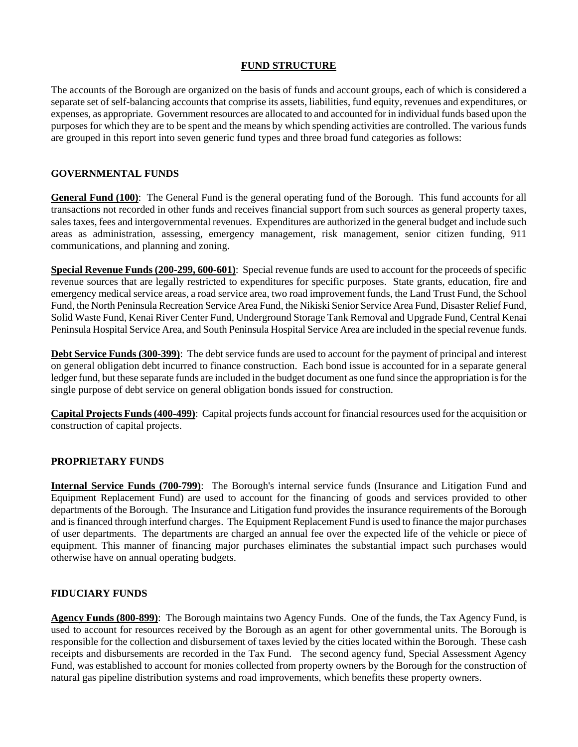#### **FUND STRUCTURE**

The accounts of the Borough are organized on the basis of funds and account groups, each of which is considered a separate set of self-balancing accounts that comprise its assets, liabilities, fund equity, revenues and expenditures, or expenses, as appropriate. Government resources are allocated to and accounted for in individual funds based upon the purposes for which they are to be spent and the means by which spending activities are controlled. The various funds are grouped in this report into seven generic fund types and three broad fund categories as follows:

### **GOVERNMENTAL FUNDS**

**General Fund (100)**: The General Fund is the general operating fund of the Borough. This fund accounts for all transactions not recorded in other funds and receives financial support from such sources as general property taxes, sales taxes, fees and intergovernmental revenues. Expenditures are authorized in the general budget and include such areas as administration, assessing, emergency management, risk management, senior citizen funding, 911 communications, and planning and zoning.

**Special Revenue Funds (200-299, 600-601)**: Special revenue funds are used to account for the proceeds of specific revenue sources that are legally restricted to expenditures for specific purposes. State grants, education, fire and emergency medical service areas, a road service area, two road improvement funds, the Land Trust Fund, the School Fund, the North Peninsula Recreation Service Area Fund, the Nikiski Senior Service Area Fund, Disaster Relief Fund, Solid Waste Fund, Kenai River Center Fund, Underground Storage Tank Removal and Upgrade Fund, Central Kenai Peninsula Hospital Service Area, and South Peninsula Hospital Service Area are included in the special revenue funds.

**Debt Service Funds (300-399)**: The debt service funds are used to account for the payment of principal and interest on general obligation debt incurred to finance construction. Each bond issue is accounted for in a separate general ledger fund, but these separate funds are included in the budget document as one fund since the appropriation is for the single purpose of debt service on general obligation bonds issued for construction.

**Capital Projects Funds (400-499)**: Capital projects funds account for financial resources used for the acquisition or construction of capital projects.

#### **PROPRIETARY FUNDS**

**Internal Service Funds (700-799)**: The Borough's internal service funds (Insurance and Litigation Fund and Equipment Replacement Fund) are used to account for the financing of goods and services provided to other departments of the Borough. The Insurance and Litigation fund provides the insurance requirements of the Borough and is financed through interfund charges. The Equipment Replacement Fund is used to finance the major purchases of user departments. The departments are charged an annual fee over the expected life of the vehicle or piece of equipment. This manner of financing major purchases eliminates the substantial impact such purchases would otherwise have on annual operating budgets.

#### **FIDUCIARY FUNDS**

**Agency Funds (800-899)**: The Borough maintains two Agency Funds. One of the funds, the Tax Agency Fund, is used to account for resources received by the Borough as an agent for other governmental units. The Borough is responsible for the collection and disbursement of taxes levied by the cities located within the Borough. These cash receipts and disbursements are recorded in the Tax Fund. The second agency fund, Special Assessment Agency Fund, was established to account for monies collected from property owners by the Borough for the construction of natural gas pipeline distribution systems and road improvements, which benefits these property owners.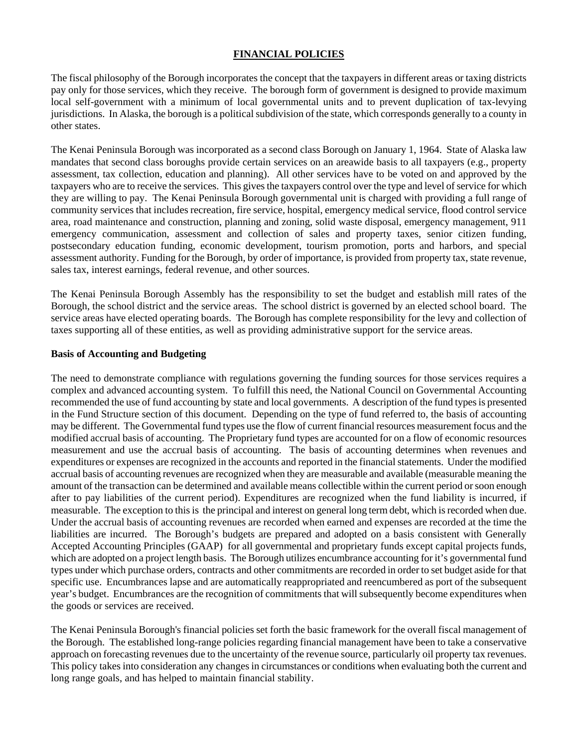#### **FINANCIAL POLICIES**

The fiscal philosophy of the Borough incorporates the concept that the taxpayers in different areas or taxing districts pay only for those services, which they receive. The borough form of government is designed to provide maximum local self-government with a minimum of local governmental units and to prevent duplication of tax-levying jurisdictions. In Alaska, the borough is a political subdivision of the state, which corresponds generally to a county in other states.

The Kenai Peninsula Borough was incorporated as a second class Borough on January 1, 1964. State of Alaska law mandates that second class boroughs provide certain services on an areawide basis to all taxpayers (e.g., property assessment, tax collection, education and planning). All other services have to be voted on and approved by the taxpayers who are to receive the services. This gives the taxpayers control over the type and level of service for which they are willing to pay. The Kenai Peninsula Borough governmental unit is charged with providing a full range of community services that includes recreation, fire service, hospital, emergency medical service, flood control service area, road maintenance and construction, planning and zoning, solid waste disposal, emergency management, 911 emergency communication, assessment and collection of sales and property taxes, senior citizen funding, postsecondary education funding, economic development, tourism promotion, ports and harbors, and special assessment authority. Funding for the Borough, by order of importance, is provided from property tax, state revenue, sales tax, interest earnings, federal revenue, and other sources.

The Kenai Peninsula Borough Assembly has the responsibility to set the budget and establish mill rates of the Borough, the school district and the service areas. The school district is governed by an elected school board. The service areas have elected operating boards. The Borough has complete responsibility for the levy and collection of taxes supporting all of these entities, as well as providing administrative support for the service areas.

#### **Basis of Accounting and Budgeting**

The need to demonstrate compliance with regulations governing the funding sources for those services requires a complex and advanced accounting system. To fulfill this need, the National Council on Governmental Accounting recommended the use of fund accounting by state and local governments. A description of the fund types is presented in the Fund Structure section of this document. Depending on the type of fund referred to, the basis of accounting may be different. The Governmental fund types use the flow of current financial resources measurement focus and the modified accrual basis of accounting. The Proprietary fund types are accounted for on a flow of economic resources measurement and use the accrual basis of accounting. The basis of accounting determines when revenues and expenditures or expenses are recognized in the accounts and reported in the financial statements. Under the modified accrual basis of accounting revenues are recognized when they are measurable and available (measurable meaning the amount of the transaction can be determined and available means collectible within the current period or soon enough after to pay liabilities of the current period). Expenditures are recognized when the fund liability is incurred, if measurable. The exception to this is the principal and interest on general long term debt, which is recorded when due. Under the accrual basis of accounting revenues are recorded when earned and expenses are recorded at the time the liabilities are incurred. The Borough's budgets are prepared and adopted on a basis consistent with Generally Accepted Accounting Principles (GAAP) for all governmental and proprietary funds except capital projects funds, which are adopted on a project length basis. The Borough utilizes encumbrance accounting for it's governmental fund types under which purchase orders, contracts and other commitments are recorded in order to set budget aside for that specific use. Encumbrances lapse and are automatically reappropriated and reencumbered as port of the subsequent year's budget. Encumbrances are the recognition of commitments that will subsequently become expenditures when the goods or services are received.

The Kenai Peninsula Borough's financial policies set forth the basic framework for the overall fiscal management of the Borough. The established long-range policies regarding financial management have been to take a conservative approach on forecasting revenues due to the uncertainty of the revenue source, particularly oil property tax revenues. This policy takes into consideration any changes in circumstances or conditions when evaluating both the current and long range goals, and has helped to maintain financial stability.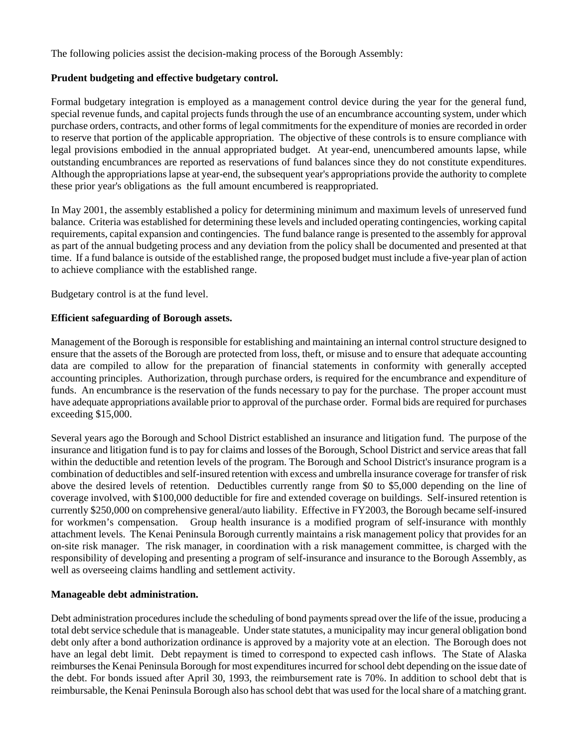The following policies assist the decision-making process of the Borough Assembly:

#### **Prudent budgeting and effective budgetary control.**

Formal budgetary integration is employed as a management control device during the year for the general fund, special revenue funds, and capital projects funds through the use of an encumbrance accounting system, under which purchase orders, contracts, and other forms of legal commitments for the expenditure of monies are recorded in order to reserve that portion of the applicable appropriation. The objective of these controls is to ensure compliance with legal provisions embodied in the annual appropriated budget. At year-end, unencumbered amounts lapse, while outstanding encumbrances are reported as reservations of fund balances since they do not constitute expenditures. Although the appropriations lapse at year-end, the subsequent year's appropriations provide the authority to complete these prior year's obligations as the full amount encumbered is reappropriated.

In May 2001, the assembly established a policy for determining minimum and maximum levels of unreserved fund balance. Criteria was established for determining these levels and included operating contingencies, working capital requirements, capital expansion and contingencies. The fund balance range is presented to the assembly for approval as part of the annual budgeting process and any deviation from the policy shall be documented and presented at that time. If a fund balance is outside of the established range, the proposed budget must include a five-year plan of action to achieve compliance with the established range.

Budgetary control is at the fund level.

#### **Efficient safeguarding of Borough assets.**

Management of the Borough is responsible for establishing and maintaining an internal control structure designed to ensure that the assets of the Borough are protected from loss, theft, or misuse and to ensure that adequate accounting data are compiled to allow for the preparation of financial statements in conformity with generally accepted accounting principles. Authorization, through purchase orders, is required for the encumbrance and expenditure of funds. An encumbrance is the reservation of the funds necessary to pay for the purchase. The proper account must have adequate appropriations available prior to approval of the purchase order. Formal bids are required for purchases exceeding \$15,000.

Several years ago the Borough and School District established an insurance and litigation fund. The purpose of the insurance and litigation fund is to pay for claims and losses of the Borough, School District and service areas that fall within the deductible and retention levels of the program. The Borough and School District's insurance program is a combination of deductibles and self-insured retention with excess and umbrella insurance coverage for transfer of risk above the desired levels of retention. Deductibles currently range from \$0 to \$5,000 depending on the line of coverage involved, with \$100,000 deductible for fire and extended coverage on buildings. Self-insured retention is currently \$250,000 on comprehensive general/auto liability. Effective in FY2003, the Borough became self-insured for workmen's compensation. Group health insurance is a modified program of self-insurance with monthly attachment levels. The Kenai Peninsula Borough currently maintains a risk management policy that provides for an on-site risk manager. The risk manager, in coordination with a risk management committee, is charged with the responsibility of developing and presenting a program of self-insurance and insurance to the Borough Assembly, as well as overseeing claims handling and settlement activity.

#### **Manageable debt administration.**

Debt administration procedures include the scheduling of bond payments spread over the life of the issue, producing a total debt service schedule that is manageable. Under state statutes, a municipality may incur general obligation bond debt only after a bond authorization ordinance is approved by a majority vote at an election. The Borough does not have an legal debt limit. Debt repayment is timed to correspond to expected cash inflows. The State of Alaska reimburses the Kenai Peninsula Borough for most expenditures incurred for school debt depending on the issue date of the debt. For bonds issued after April 30, 1993, the reimbursement rate is 70%. In addition to school debt that is reimbursable, the Kenai Peninsula Borough also has school debt that was used for the local share of a matching grant.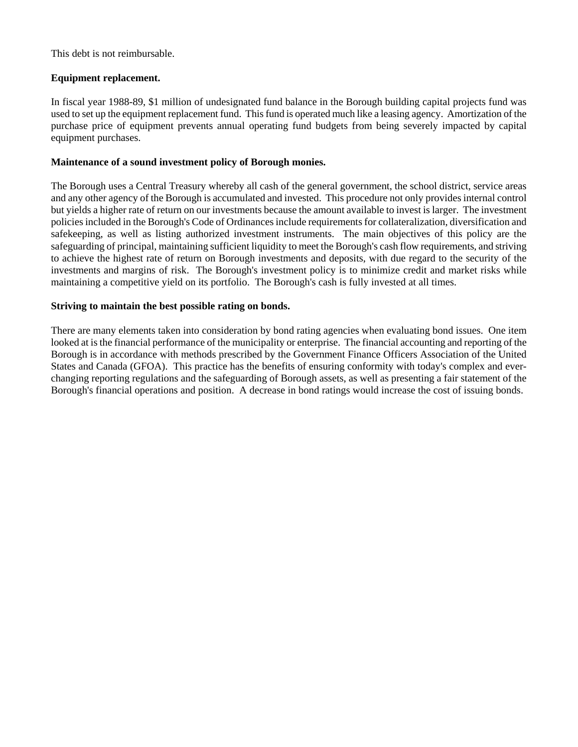This debt is not reimbursable.

#### **Equipment replacement.**

In fiscal year 1988-89, \$1 million of undesignated fund balance in the Borough building capital projects fund was used to set up the equipment replacement fund. This fund is operated much like a leasing agency. Amortization of the purchase price of equipment prevents annual operating fund budgets from being severely impacted by capital equipment purchases.

#### **Maintenance of a sound investment policy of Borough monies.**

The Borough uses a Central Treasury whereby all cash of the general government, the school district, service areas and any other agency of the Borough is accumulated and invested. This procedure not only provides internal control but yields a higher rate of return on our investments because the amount available to invest is larger. The investment policies included in the Borough's Code of Ordinances include requirements for collateralization, diversification and safekeeping, as well as listing authorized investment instruments. The main objectives of this policy are the safeguarding of principal, maintaining sufficient liquidity to meet the Borough's cash flow requirements, and striving to achieve the highest rate of return on Borough investments and deposits, with due regard to the security of the investments and margins of risk. The Borough's investment policy is to minimize credit and market risks while maintaining a competitive yield on its portfolio. The Borough's cash is fully invested at all times.

#### **Striving to maintain the best possible rating on bonds.**

There are many elements taken into consideration by bond rating agencies when evaluating bond issues. One item looked at is the financial performance of the municipality or enterprise. The financial accounting and reporting of the Borough is in accordance with methods prescribed by the Government Finance Officers Association of the United States and Canada (GFOA). This practice has the benefits of ensuring conformity with today's complex and everchanging reporting regulations and the safeguarding of Borough assets, as well as presenting a fair statement of the Borough's financial operations and position. A decrease in bond ratings would increase the cost of issuing bonds.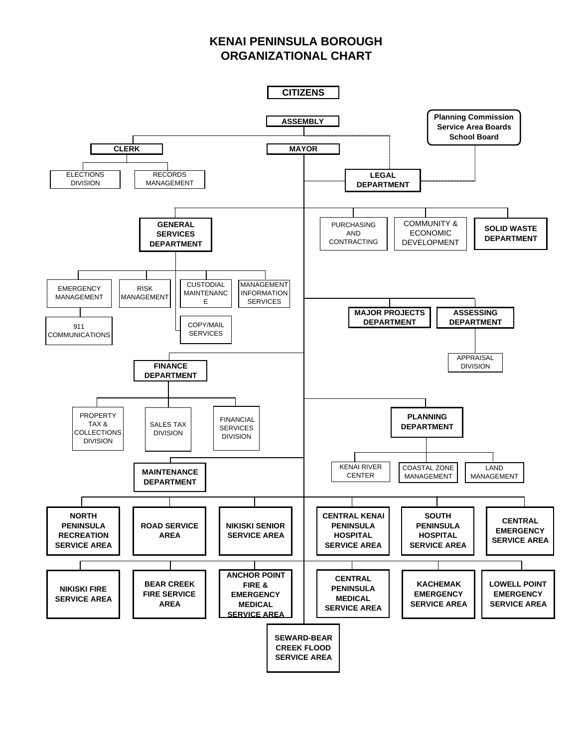# **KENAI PENINSULA BOROUGH ORGANIZATIONAL CHART**

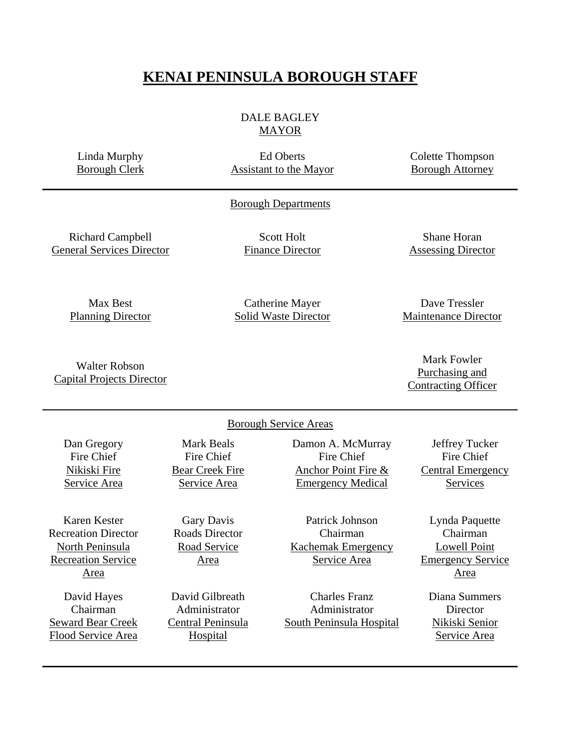# **KENAI PENINSULA BOROUGH STAFF**

# DALE BAGLEY MAYOR

Linda Murphy Borough Clerk

Ed Oberts Assistant to the Mayor Colette Thompson Borough Attorney

#### Borough Departments

Richard Campbell General Services Director

Scott Holt Finance Director

Shane Horan Assessing Director

Max Best Planning Director

Catherine Mayer Solid Waste Director

Dave Tressler Maintenance Director

Mark Fowler Purchasing and Contracting Officer

Walter Robson Capital Projects Director

#### Borough Service Areas

Dan Gregory Fire Chief Nikiski Fire Service Area Mark Beals Fire Chief Bear Creek Fire Service Area Damon A. McMurray Fire Chief Anchor Point Fire & Emergency Medical Jeffrey Tucker Fire Chief Central Emergency Services Karen Kester Recreation Director North Peninsula Recreation Service Area Gary Davis Roads Director Road Service Area Patrick Johnson Chairman Kachemak Emergency Service Area Lynda Paquette Chairman Lowell Point Emergency Service Area David Hayes Chairman Seward Bear Creek Flood Service Area David Gilbreath Administrator Central Peninsula **Hospital** Charles Franz Administrator South Peninsula Hospital Diana Summers **Director** Nikiski Senior Service Area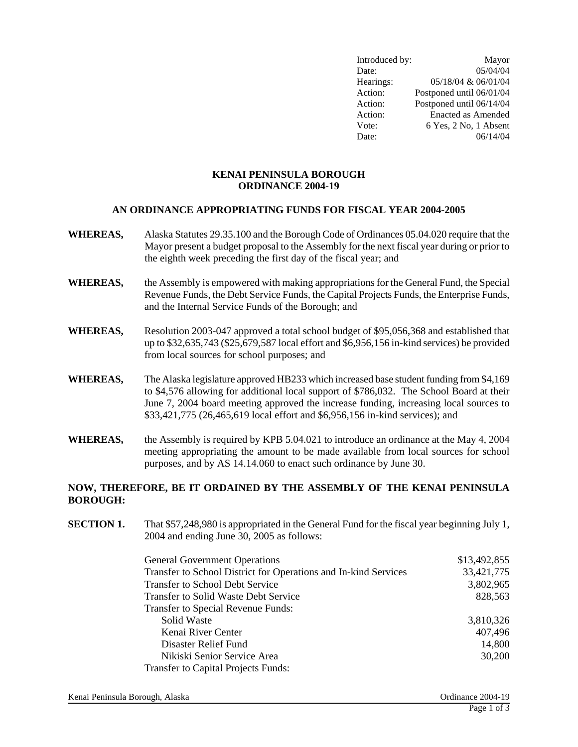| Introduced by: | Mayor                     |
|----------------|---------------------------|
| Date:          | 05/04/04                  |
| Hearings:      | 05/18/04 & 06/01/04       |
| Action:        | Postponed until 06/01/04  |
| Action:        | Postponed until 06/14/04  |
| Action:        | <b>Enacted as Amended</b> |
| Vote:          | 6 Yes, 2 No, 1 Absent     |
| Date:          | 06/14/04                  |

#### **KENAI PENINSULA BOROUGH ORDINANCE 2004-19**

#### **AN ORDINANCE APPROPRIATING FUNDS FOR FISCAL YEAR 2004-2005**

- **WHEREAS,** Alaska Statutes 29.35.100 and the Borough Code of Ordinances 05.04.020 require that the Mayor present a budget proposal to the Assembly for the next fiscal year during or prior to the eighth week preceding the first day of the fiscal year; and
- **WHEREAS,** the Assembly is empowered with making appropriations for the General Fund, the Special Revenue Funds, the Debt Service Funds, the Capital Projects Funds, the Enterprise Funds, and the Internal Service Funds of the Borough; and
- **WHEREAS,** Resolution 2003-047 approved a total school budget of \$95,056,368 and established that up to \$32,635,743 (\$25,679,587 local effort and \$6,956,156 in-kind services) be provided from local sources for school purposes; and
- **WHEREAS,** The Alaska legislature approved HB233 which increased base student funding from \$4,169 to \$4,576 allowing for additional local support of \$786,032. The School Board at their June 7, 2004 board meeting approved the increase funding, increasing local sources to \$33,421,775 (26,465,619 local effort and \$6,956,156 in-kind services); and
- **WHEREAS,** the Assembly is required by KPB 5.04.021 to introduce an ordinance at the May 4, 2004 meeting appropriating the amount to be made available from local sources for school purposes, and by AS 14.14.060 to enact such ordinance by June 30.

#### **NOW, THEREFORE, BE IT ORDAINED BY THE ASSEMBLY OF THE KENAI PENINSULA BOROUGH:**

**SECTION 1.** That \$57,248,980 is appropriated in the General Fund for the fiscal year beginning July 1, 2004 and ending June 30, 2005 as follows:

| <b>General Government Operations</b>                            | \$13,492,855 |
|-----------------------------------------------------------------|--------------|
| Transfer to School District for Operations and In-kind Services | 33,421,775   |
| <b>Transfer to School Debt Service</b>                          | 3,802,965    |
| Transfer to Solid Waste Debt Service                            | 828,563      |
| <b>Transfer to Special Revenue Funds:</b>                       |              |
| Solid Waste                                                     | 3,810,326    |
| Kenai River Center                                              | 407,496      |
| Disaster Relief Fund                                            | 14,800       |
| Nikiski Senior Service Area                                     | 30,200       |
| <b>Transfer to Capital Projects Funds:</b>                      |              |

Kenai Peninsula Borough, Alaska Christian Borough, Alaska Christian Borough, Alaska Christian Borough, Alaska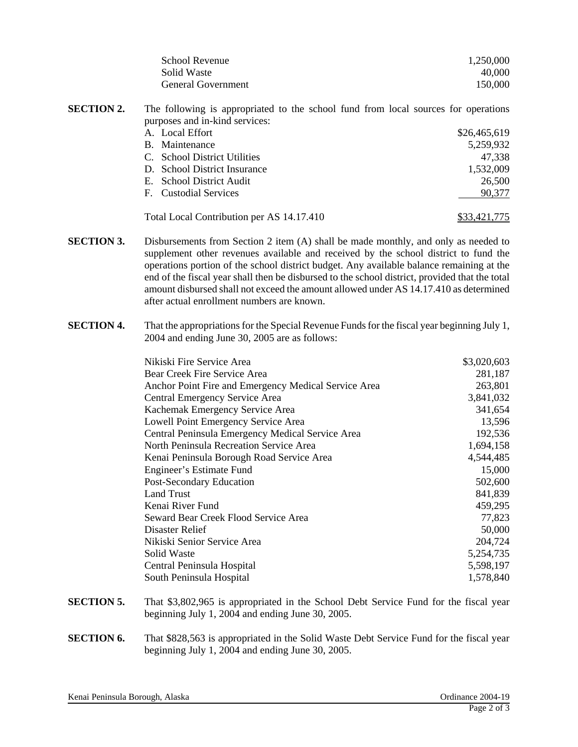| School Revenue            | 1,250,000 |
|---------------------------|-----------|
| Solid Waste               | 40.000    |
| <b>General Government</b> | 150,000   |

- **SECTION 2.** The following is appropriated to the school fund from local sources for operations purposes and in-kind services: A. Local Effort \$26,465,619 B. Maintenance 5,259,932 C. School District Utilities 47,338 D. School District Insurance 1,532,009 E. School District Audit 26,500 F. Custodial Services 90,377
	- Total Local Contribution per AS 14.17.410 \$33,421,775
- **SECTION 3.** Disbursements from Section 2 item (A) shall be made monthly, and only as needed to supplement other revenues available and received by the school district to fund the operations portion of the school district budget. Any available balance remaining at the end of the fiscal year shall then be disbursed to the school district, provided that the total amount disbursed shall not exceed the amount allowed under AS 14.17.410 as determined after actual enrollment numbers are known.
- **SECTION 4.** That the appropriations for the Special Revenue Funds for the fiscal year beginning July 1, 2004 and ending June 30, 2005 are as follows:

| Nikiski Fire Service Area                            | \$3,020,603 |
|------------------------------------------------------|-------------|
| Bear Creek Fire Service Area                         | 281,187     |
| Anchor Point Fire and Emergency Medical Service Area | 263,801     |
| Central Emergency Service Area                       | 3,841,032   |
| Kachemak Emergency Service Area                      | 341,654     |
| Lowell Point Emergency Service Area                  | 13,596      |
| Central Peninsula Emergency Medical Service Area     | 192,536     |
| North Peninsula Recreation Service Area              | 1,694,158   |
| Kenai Peninsula Borough Road Service Area            | 4,544,485   |
| Engineer's Estimate Fund                             | 15,000      |
| Post-Secondary Education                             | 502,600     |
| <b>Land Trust</b>                                    | 841,839     |
| Kenai River Fund                                     | 459,295     |
| Seward Bear Creek Flood Service Area                 | 77,823      |
| Disaster Relief                                      | 50,000      |
| Nikiski Senior Service Area                          | 204,724     |
| Solid Waste                                          | 5,254,735   |
| Central Peninsula Hospital                           | 5,598,197   |
| South Peninsula Hospital                             | 1,578,840   |
|                                                      |             |

- **SECTION 5.** That \$3,802,965 is appropriated in the School Debt Service Fund for the fiscal year beginning July 1, 2004 and ending June 30, 2005.
- **SECTION 6.** That \$828,563 is appropriated in the Solid Waste Debt Service Fund for the fiscal year beginning July 1, 2004 and ending June 30, 2005.